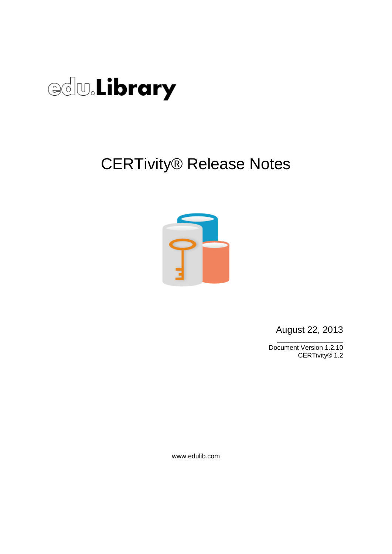

## CERTivity® Release Notes



August 22, 2013 \_\_\_\_\_\_\_\_\_\_\_\_\_\_\_\_\_\_

Document Version 1.2.10 CERTivity® 1.2

www.edulib.com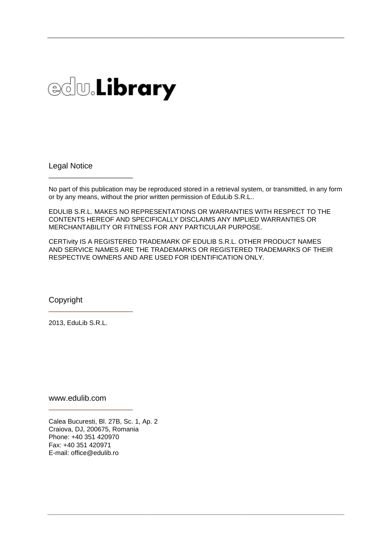# **edw.Library**

Legal Notice

\_\_\_\_\_\_\_\_\_\_\_\_\_\_\_\_\_\_\_\_\_\_\_

No part of this publication may be reproduced stored in a retrieval system, or transmitted, in any form or by any means, without the prior written permission of EduLib S.R.L..

EDULIB S.R.L. MAKES NO REPRESENTATIONS OR WARRANTIES WITH RESPECT TO THE CONTENTS HEREOF AND SPECIFICALLY DISCLAIMS ANY IMPLIED WARRANTIES OR MERCHANTABILITY OR FITNESS FOR ANY PARTICULAR PURPOSE.

CERTivity IS A REGISTERED TRADEMARK OF EDULIB S.R.L. OTHER PRODUCT NAMES AND SERVICE NAMES ARE THE TRADEMARKS OR REGISTERED TRADEMARKS OF THEIR RESPECTIVE OWNERS AND ARE USED FOR IDENTIFICATION ONLY.

Copyright

2013, EduLib S.R.L.

\_\_\_\_\_\_\_\_\_\_\_\_\_\_\_\_\_\_\_\_\_\_\_

www.edulib.com

\_\_\_\_\_\_\_\_\_\_\_\_\_\_\_\_\_\_\_\_\_\_\_

Calea Bucuresti, Bl. 27B, Sc. 1, Ap. 2 Craiova, DJ, 200675, Romania Phone: +40 351 420970 Fax: +40 351 420971 E-mail: office@edulib.ro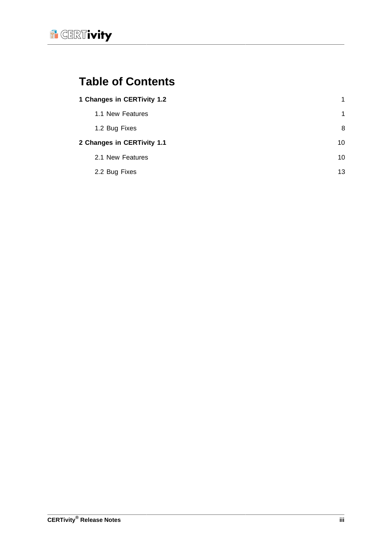

## **Table of Contents**

|                            | 1 Changes in CERTivity 1.2 | $\mathbf{1}$ |
|----------------------------|----------------------------|--------------|
|                            | 1.1 New Features           | 1            |
|                            | 1.2 Bug Fixes              | 8            |
| 2 Changes in CERTivity 1.1 |                            | 10           |
|                            | 2.1 New Features           | 10           |
|                            | 2.2 Bug Fixes              | 13           |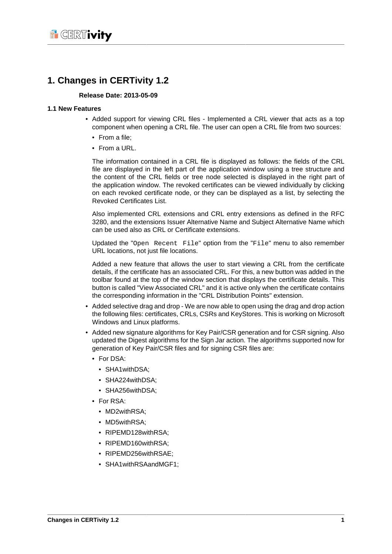### <span id="page-3-0"></span>**1. Changes in CERTivity 1.2**

#### **Release Date: 2013-05-09**

#### <span id="page-3-1"></span>**1.1 New Features**

- Added support for viewing CRL files Implemented a CRL viewer that acts as a top component when opening a CRL file. The user can open a CRL file from two sources:
	- From a file;
	- From a URL.

The information contained in a CRL file is displayed as follows: the fields of the CRL file are displayed in the left part of the application window using a tree structure and the content of the CRL fields or tree node selected is displayed in the right part of the application window. The revoked certificates can be viewed individually by clicking on each revoked certificate node, or they can be displayed as a list, by selecting the Revoked Certificates List.

Also implemented CRL extensions and CRL entry extensions as defined in the RFC 3280, and the extensions Issuer Alternative Name and Subject Alternative Name which can be used also as CRL or Certificate extensions.

Updated the "Open Recent File" option from the "File" menu to also remember URL locations, not just file locations.

Added a new feature that allows the user to start viewing a CRL from the certificate details, if the certificate has an associated CRL. For this, a new button was added in the toolbar found at the top of the window section that displays the certificate details. This button is called "View Associated CRL" and it is active only when the certificate contains the corresponding information in the "CRL Distribution Points" extension.

- Added selective drag and drop We are now able to open using the drag and drop action the following files: certificates, CRLs, CSRs and KeyStores. This is working on Microsoft Windows and Linux platforms.
- Added new signature algorithms for Key Pair/CSR generation and for CSR signing. Also updated the Digest algorithms for the Sign Jar action. The algorithms supported now for generation of Key Pair/CSR files and for signing CSR files are:
	- For DSA:
		- SHA1withDSA;
		- SHA224withDSA;
		- SHA256withDSA;
	- For RSA:
		- MD2withRSA:
		- MD5withRSA:
		- RIPEMD128withRSA;
		- RIPEMD160withRSA;
		- RIPEMD256withRSAE;
		- SHA1withRSAandMGF1;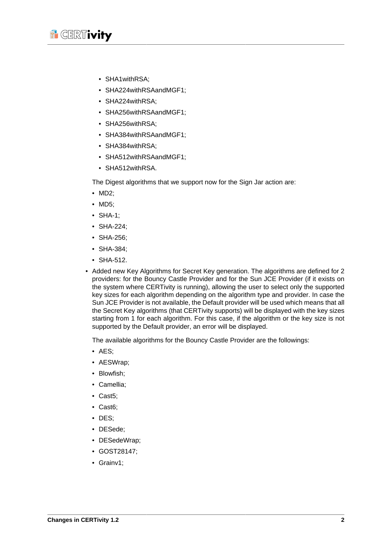

- SHA1withRSA;
- SHA224withRSAandMGF1;
- SHA224withRSA;
- SHA256withRSAandMGF1:
- SHA256withRSA;
- SHA384withRSAandMGF1;
- SHA384withRSA;
- SHA512withRSAandMGF1:
- SHA512withRSA.

The Digest algorithms that we support now for the Sign Jar action are:

- MD2;
- MD5;
- SHA-1;
- SHA-224;
- SHA-256;
- SHA-384;
- SHA-512.
- Added new Key Algorithms for Secret Key generation. The algorithms are defined for 2 providers: for the Bouncy Castle Provider and for the Sun JCE Provider (if it exists on the system where CERTivity is running), allowing the user to select only the supported key sizes for each algorithm depending on the algorithm type and provider. In case the Sun JCE Provider is not available, the Default provider will be used which means that all the Secret Key algorithms (that CERTivity supports) will be displayed with the key sizes starting from 1 for each algorithm. For this case, if the algorithm or the key size is not supported by the Default provider, an error will be displayed.

The available algorithms for the Bouncy Castle Provider are the followings:

- AES;
- AESWrap;
- Blowfish;
- Camellia;
- Cast5;
- Cast6;
- DES;
- DESede;
- DESedeWrap;
- GOST28147;
- Grainv1;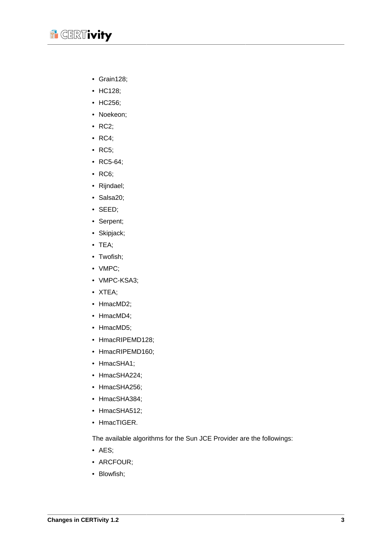

- Grain128;
- HC128;
- HC256;
- Noekeon;
- RC2;
- RC4;
- RC5;
- RC5-64;
- RC6;
- Rijndael;
- Salsa20;
- SEED;
- Serpent;
- Skipjack;
- TEA;
- Twofish;
- VMPC;
- VMPC-KSA3;
- XTEA;
- HmacMD2;
- HmacMD4:
- HmacMD5;
- HmacRIPEMD128;
- HmacRIPEMD160;
- HmacSHA1;
- HmacSHA224;
- HmacSHA256;
- HmacSHA384;
- HmacSHA512;
- HmacTIGER.

The available algorithms for the Sun JCE Provider are the followings:

- AES;
- ARCFOUR;
- Blowfish;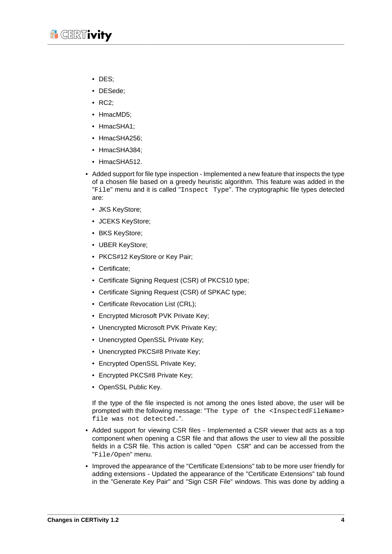

- DES;
- DESede;
- RC2;
- HmacMD5:
- HmacSHA1;
- HmacSHA256;
- HmacSHA384;
- HmacSHA512.
- Added support for file type inspection Implemented a new feature that inspects the type of a chosen file based on a greedy heuristic algorithm. This feature was added in the "File" menu and it is called "Inspect Type". The cryptographic file types detected are:
	- JKS KeyStore;
	- JCEKS KeyStore;
	- BKS KeyStore;
	- UBER KeyStore;
	- PKCS#12 KeyStore or Key Pair;
	- Certificate;
	- Certificate Signing Request (CSR) of PKCS10 type;
	- Certificate Signing Request (CSR) of SPKAC type;
	- Certificate Revocation List (CRL);
	- Encrypted Microsoft PVK Private Key;
	- Unencrypted Microsoft PVK Private Key;
	- Unencrypted OpenSSL Private Key;
	- Unencrypted PKCS#8 Private Key;
	- Encrypted OpenSSL Private Key;
	- Encrypted PKCS#8 Private Key;
	- OpenSSL Public Key.

If the type of the file inspected is not among the ones listed above, the user will be prompted with the following message: "The type of the <InspectedFileName> file was not detected.".

- Added support for viewing CSR files Implemented a CSR viewer that acts as a top component when opening a CSR file and that allows the user to view all the possible fields in a CSR file. This action is called "Open CSR" and can be accessed from the "File/Open" menu.
- Improved the appearance of the "Certificate Extensions" tab to be more user friendly for adding extensions - Updated the appearance of the "Certificate Extensions" tab found in the "Generate Key Pair" and "Sign CSR File" windows. This was done by adding a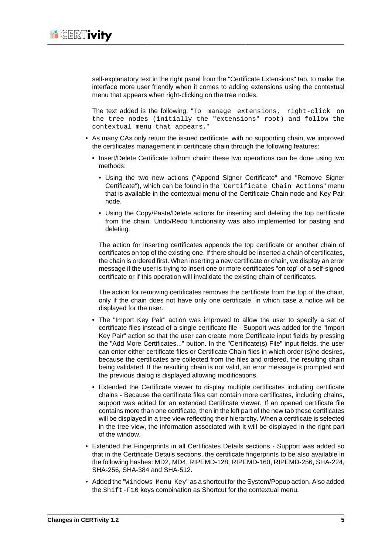

self-explanatory text in the right panel from the "Certificate Extensions" tab, to make the interface more user friendly when it comes to adding extensions using the contextual menu that appears when right-clicking on the tree nodes.

The text added is the following: "To manage extensions, right-click on the tree nodes (initially the "extensions" root) and follow the contextual menu that appears."

- As many CAs only return the issued certificate, with no supporting chain, we improved the certificates management in certificate chain through the following features:
	- Insert/Delete Certificate to/from chain: these two operations can be done using two methods:
		- Using the two new actions ("Append Signer Certificate" and "Remove Signer Certificate"), which can be found in the "Certificate Chain Actions" menu that is available in the contextual menu of the Certificate Chain node and Key Pair node.
		- Using the Copy/Paste/Delete actions for inserting and deleting the top certificate from the chain. Undo/Redo functionality was also implemented for pasting and deleting.

The action for inserting certificates appends the top certificate or another chain of certificates on top of the existing one. If there should be inserted a chain of certificates, the chain is ordered first. When inserting a new certificate or chain, we display an error message if the user is trying to insert one or more certificates "on top" of a self-signed certificate or if this operation will invalidate the existing chain of certificates.

The action for removing certificates removes the certificate from the top of the chain, only if the chain does not have only one certificate, in which case a notice will be displayed for the user.

- The "Import Key Pair" action was improved to allow the user to specify a set of certificate files instead of a single certificate file - Support was added for the "Import Key Pair" action so that the user can create more Certificate input fields by pressing the "Add More Certificates..." button. In the "Certificate(s) File" input fields, the user can enter either certificate files or Certificate Chain files in which order (s)he desires, because the certificates are collected from the files and ordered, the resulting chain being validated. If the resulting chain is not valid, an error message is prompted and the previous dialog is displayed allowing modifications.
- Extended the Certificate viewer to display multiple certificates including certificate chains - Because the certificate files can contain more certificates, including chains, support was added for an extended Certificate viewer. If an opened certificate file contains more than one certificate, then in the left part of the new tab these certificates will be displayed in a tree view reflecting their hierarchy. When a certificate is selected in the tree view, the information associated with it will be displayed in the right part of the window.
- Extended the Fingerprints in all Certificates Details sections Support was added so that in the Certificate Details sections, the certificate fingerprints to be also available in the following hashes: MD2, MD4, RIPEMD-128, RIPEMD-160, RIPEMD-256, SHA-224, SHA-256, SHA-384 and SHA-512.
- Added the "Windows Menu Key" as a shortcut for the System/Popup action. Also added the Shift-F10 keys combination as Shortcut for the contextual menu.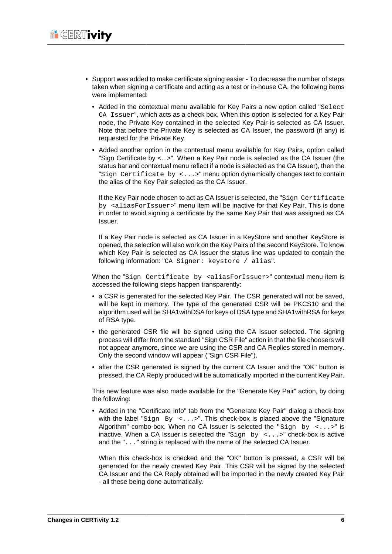- Support was added to make certificate signing easier To decrease the number of steps taken when signing a certificate and acting as a test or in-house CA, the following items were implemented:
	- Added in the contextual menu available for Key Pairs a new option called "Select CA Issuer", which acts as a check box. When this option is selected for a Key Pair node, the Private Key contained in the selected Key Pair is selected as CA Issuer. Note that before the Private Key is selected as CA Issuer, the password (if any) is requested for the Private Key.
	- Added another option in the contextual menu available for Key Pairs, option called "Sign Certificate by <...>". When a Key Pair node is selected as the CA Issuer (the status bar and contextual menu reflect if a node is selected as the CA Issuer), then the "Sign Certificate by  $\langle \ldots \rangle$ " menu option dynamically changes text to contain the alias of the Key Pair selected as the CA Issuer.

If the Key Pair node chosen to act as CA Issuer is selected, the "Sign Certificate by <aliasForIssuer>" menu item will be inactive for that Key Pair. This is done in order to avoid signing a certificate by the same Key Pair that was assigned as CA Issuer.

If a Key Pair node is selected as CA Issuer in a KeyStore and another KeyStore is opened, the selection will also work on the Key Pairs of the second KeyStore. To know which Key Pair is selected as CA Issuer the status line was updated to contain the following information: "CA Signer: keystore / alias".

When the "Sign Certificate by <aliasForIssuer>" contextual menu item is accessed the following steps happen transparently:

- a CSR is generated for the selected Key Pair. The CSR generated will not be saved, will be kept in memory. The type of the generated CSR will be PKCS10 and the algorithm used will be SHA1withDSA for keys of DSA type and SHA1withRSA for keys of RSA type.
- the generated CSR file will be signed using the CA Issuer selected. The signing process will differ from the standard "Sign CSR File" action in that the file choosers will not appear anymore, since we are using the CSR and CA Replies stored in memory. Only the second window will appear ("Sign CSR File").
- after the CSR generated is signed by the current CA Issuer and the "OK" button is pressed, the CA Reply produced will be automatically imported in the current Key Pair.

This new feature was also made available for the "Generate Key Pair" action, by doing the following:

• Added in the "Certificate Info" tab from the "Generate Key Pair" dialog a check-box with the label "Sign By  $\langle \ldots \rangle$ ". This check-box is placed above the "Signature" Algorithm" combo-box. When no CA Issuer is selected the "Sign by  $\leq \ldots$  >" is inactive. When a CA Issuer is selected the " $Sign \; by \; <\ldots>$ " check-box is active and the "..." string is replaced with the name of the selected CA Issuer.

When this check-box is checked and the "OK" button is pressed, a CSR will be generated for the newly created Key Pair. This CSR will be signed by the selected CA Issuer and the CA Reply obtained will be imported in the newly created Key Pair - all these being done automatically.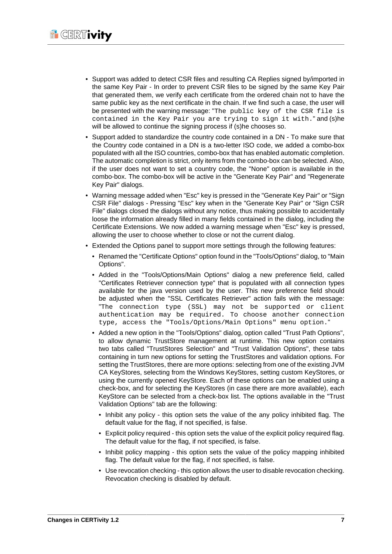- Support was added to detect CSR files and resulting CA Replies signed by/imported in the same Key Pair - In order to prevent CSR files to be signed by the same Key Pair that generated them, we verify each certificate from the ordered chain not to have the same public key as the next certificate in the chain. If we find such a case, the user will be presented with the warning message: "The public key of the CSR file is contained in the Key Pair you are trying to sign it with." and (s)he will be allowed to continue the signing process if (s)he chooses so.
- Support added to standardize the country code contained in a DN To make sure that the Country code contained in a DN is a two-letter ISO code, we added a combo-box populated with all the ISO countries, combo-box that has enabled automatic completion. The automatic completion is strict, only items from the combo-box can be selected. Also, if the user does not want to set a country code, the "None" option is available in the combo-box. The combo-box will be active in the "Generate Key Pair" and "Regenerate Key Pair" dialogs.
- Warning message added when "Esc" key is pressed in the "Generate Key Pair" or "Sign CSR File" dialogs - Pressing "Esc" key when in the "Generate Key Pair" or "Sign CSR File" dialogs closed the dialogs without any notice, thus making possible to accidentally loose the information already filled in many fields contained in the dialog, including the Certificate Extensions. We now added a warning message when "Esc" key is pressed, allowing the user to choose whether to close or not the current dialog.
- Extended the Options panel to support more settings through the following features:
	- Renamed the "Certificate Options" option found in the "Tools/Options" dialog, to "Main Options".
	- Added in the "Tools/Options/Main Options" dialog a new preference field, called "Certificates Retriever connection type" that is populated with all connection types available for the java version used by the user. This new preference field should be adjusted when the "SSL Certificates Retriever" action fails with the message: "The connection type (SSL) may not be supported or client authentication may be required. To choose another connection type, access the "Tools/Options/Main Options" menu option."
	- Added a new option in the "Tools/Options" dialog, option called "Trust Path Options", to allow dynamic TrustStore management at runtime. This new option contains two tabs called "TrustStores Selection" and "Trust Validation Options", these tabs containing in turn new options for setting the TrustStores and validation options. For setting the TrustStores, there are more options: selecting from one of the existing JVM CA KeyStores, selecting from the Windows KeyStores, setting custom KeyStores, or using the currently opened KeyStore. Each of these options can be enabled using a check-box, and for selecting the KeyStores (in case there are more available), each KeyStore can be selected from a check-box list. The options available in the "Trust Validation Options" tab are the following:
		- Inhibit any policy this option sets the value of the any policy inhibited flag. The default value for the flag, if not specified, is false.
		- Explicit policy required this option sets the value of the explicit policy required flag. The default value for the flag, if not specified, is false.
		- Inhibit policy mapping this option sets the value of the policy mapping inhibited flag. The default value for the flag, if not specified, is false.
		- Use revocation checking this option allows the user to disable revocation checking. Revocation checking is disabled by default.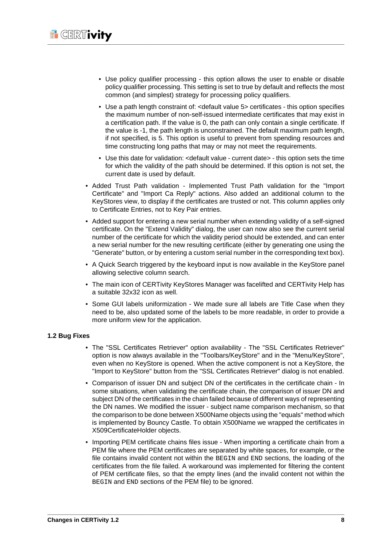- Use policy qualifier processing this option allows the user to enable or disable policy qualifier processing. This setting is set to true by default and reflects the most common (and simplest) strategy for processing policy qualifiers.
- Use a path length constraint of: <default value 5> certificates this option specifies the maximum number of non-self-issued intermediate certificates that may exist in a certification path. If the value is 0, the path can only contain a single certificate. If the value is -1, the path length is unconstrained. The default maximum path length, if not specified, is 5. This option is useful to prevent from spending resources and time constructing long paths that may or may not meet the requirements.
- Use this date for validation: <default value current date> this option sets the time for which the validity of the path should be determined. If this option is not set, the current date is used by default.
- Added Trust Path validation Implemented Trust Path validation for the "Import Certificate" and "Import Ca Reply" actions. Also added an additional column to the KeyStores view, to display if the certificates are trusted or not. This column applies only to Certificate Entries, not to Key Pair entries.
- Added support for entering a new serial number when extending validity of a self-signed certificate. On the "Extend Validity" dialog, the user can now also see the current serial number of the certificate for which the validity period should be extended, and can enter a new serial number for the new resulting certificate (either by generating one using the "Generate" button, or by entering a custom serial number in the corresponding text box).
- A Quick Search triggered by the keyboard input is now available in the KeyStore panel allowing selective column search.
- The main icon of CERTivity KeyStores Manager was facelifted and CERTivity Help has a suitable 32x32 icon as well.
- Some GUI labels uniformization We made sure all labels are Title Case when they need to be, also updated some of the labels to be more readable, in order to provide a more uniform view for the application.

#### <span id="page-10-0"></span>**1.2 Bug Fixes**

- The "SSL Certificates Retriever" option availability The "SSL Certificates Retriever" option is now always available in the "Toolbars/KeyStore" and in the "Menu/KeyStore", even when no KeyStore is opened. When the active component is not a KeyStore, the "Import to KeyStore" button from the "SSL Certificates Retriever" dialog is not enabled.
- Comparison of issuer DN and subject DN of the certificates in the certificate chain In some situations, when validating the certificate chain, the comparison of issuer DN and subject DN of the certificates in the chain failed because of different ways of representing the DN names. We modified the issuer - subject name comparison mechanism, so that the comparison to be done between X500Name objects using the "equals" method which is implemented by Bouncy Castle. To obtain X500Name we wrapped the certificates in X509CertificateHolder objects.
- Importing PEM certificate chains files issue When importing a certificate chain from a PEM file where the PEM certificates are separated by white spaces, for example, or the file contains invalid content not within the BEGIN and END sections, the loading of the certificates from the file failed. A workaround was implemented for filtering the content of PEM certificate files, so that the empty lines (and the invalid content not within the BEGIN and END sections of the PEM file) to be ignored.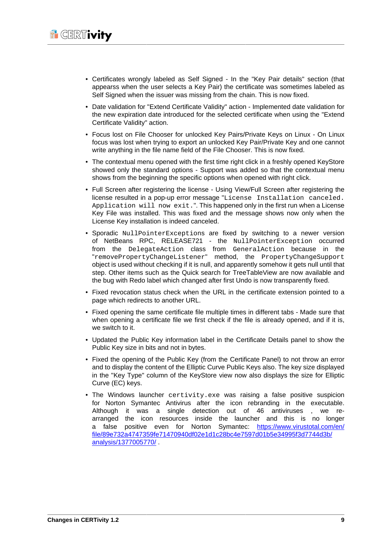- Certificates wrongly labeled as Self Signed In the "Key Pair details" section (that appearss when the user selects a Key Pair) the certificate was sometimes labeled as Self Signed when the issuer was missing from the chain. This is now fixed.
- Date validation for "Extend Certificate Validity" action Implemented date validation for the new expiration date introduced for the selected certificate when using the "Extend Certificate Validity" action.
- Focus lost on File Chooser for unlocked Key Pairs/Private Keys on Linux On Linux focus was lost when trying to export an unlocked Key Pair/Private Key and one cannot write anything in the file name field of the File Chooser. This is now fixed.
- The contextual menu opened with the first time right click in a freshly opened KeyStore showed only the standard options - Support was added so that the contextual menu shows from the beginning the specific options when opened with right click.
- Full Screen after registering the license Using View/Full Screen after registering the license resulted in a pop-up error message "License Installation canceled. Application will now exit.". This happened only in the first run when a License Key File was installed. This was fixed and the message shows now only when the License Key installation is indeed canceled.
- Sporadic NullPointerExceptions are fixed by switching to a newer version of NetBeans RPC, RELEASE721 - the NullPointerException occurred from the DelegateAction class from GeneralAction because in the "removePropertyChangeListener" method, the PropertyChangeSupport object is used without checking if it is null, and apparently somehow it gets null until that step. Other items such as the Quick search for TreeTableView are now available and the bug with Redo label which changed after first Undo is now transparently fixed.
- Fixed revocation status check when the URL in the certificate extension pointed to a page which redirects to another URL.
- Fixed opening the same certificate file multiple times in different tabs Made sure that when opening a certificate file we first check if the file is already opened, and if it is, we switch to it.
- Updated the Public Key information label in the Certificate Details panel to show the Public Key size in bits and not in bytes.
- Fixed the opening of the Public Key (from the Certificate Panel) to not throw an error and to display the content of the Elliptic Curve Public Keys also. The key size displayed in the "Key Type" column of the KeyStore view now also displays the size for Elliptic Curve (EC) keys.
- The Windows launcher certivity.exe was raising a false positive suspicion for Norton Symantec Antivirus after the icon rebranding in the executable. Although it was a single detection out of 46 antiviruses , we rearranged the icon resources inside the launcher and this is no longer a false positive even for Norton Symantec: [https://www.virustotal.com/en/](https://www.virustotal.com/en/file/89e732a4747359fe71470940df02e1d1c28bc4e7597d01b5e34995f3d7744d3b/analysis/1377005770/) [file/89e732a4747359fe71470940df02e1d1c28bc4e7597d01b5e34995f3d7744d3b/](https://www.virustotal.com/en/file/89e732a4747359fe71470940df02e1d1c28bc4e7597d01b5e34995f3d7744d3b/analysis/1377005770/) [analysis/1377005770/](https://www.virustotal.com/en/file/89e732a4747359fe71470940df02e1d1c28bc4e7597d01b5e34995f3d7744d3b/analysis/1377005770/) .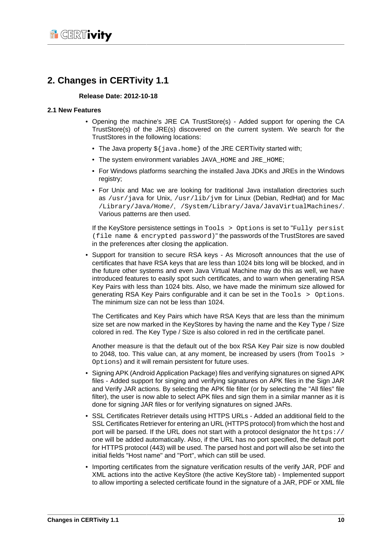## <span id="page-12-0"></span>**2. Changes in CERTivity 1.1**

#### **Release Date: 2012-10-18**

#### <span id="page-12-1"></span>**2.1 New Features**

- Opening the machine's JRE CA TrustStore(s) Added support for opening the CA TrustStore(s) of the JRE(s) discovered on the current system. We search for the TrustStores in the following locations:
	- The Java property  $\frac{1}{2}$  java.home } of the JRE CERTivity started with;
	- The system environment variables JAVA\_HOME and JRE\_HOME;
	- For Windows platforms searching the installed Java JDKs and JREs in the Windows registry;
	- For Unix and Mac we are looking for traditional Java installation directories such as /usr/java for Unix, /usr/lib/jvm for Linux (Debian, RedHat) and for Mac /Library/Java/Home/, /System/Library/Java/JavaVirtualMachines/. Various patterns are then used.

If the KeyStore persistence settings in Tools > Options is set to "Fully persist (file name & encrypted password)" the passwords of the TrustStores are saved in the preferences after closing the application.

• Support for transition to secure RSA keys - As Microsoft announces that the use of certificates that have RSA keys that are less than 1024 bits long will be blocked, and in the future other systems and even Java Virtual Machine may do this as well, we have introduced features to easily spot such certificates, and to warn when generating RSA Key Pairs with less than 1024 bits. Also, we have made the minimum size allowed for generating RSA Key Pairs configurable and it can be set in the Tools > Options. The minimum size can not be less than 1024.

The Certificates and Key Pairs which have RSA Keys that are less than the minimum size set are now marked in the KeyStores by having the name and the Key Type / Size colored in red. The Key Type / Size is also colored in red in the certificate panel.

Another measure is that the default out of the box RSA Key Pair size is now doubled to 2048, too. This value can, at any moment, be increased by users (from Tools > Options) and it will remain persistent for future uses.

- Signing APK (Android Application Package) files and verifying signatures on signed APK files - Added support for singing and verifying signatures on APK files in the Sign JAR and Verify JAR actions. By selecting the APK file filter (or by selecting the "All files" file filter), the user is now able to select APK files and sign them in a similar manner as it is done for signing JAR files or for verifying signatures on signed JARs.
- SSL Certificates Retriever details using HTTPS URLs Added an additional field to the SSL Certificates Retriever for entering an URL (HTTPS protocol) from which the host and port will be parsed. If the URL does not start with a protocol designator the  $h_{\text{t}}$ thes:// one will be added automatically. Also, if the URL has no port specified, the default port for HTTPS protocol (443) will be used. The parsed host and port will also be set into the initial fields "Host name" and "Port", which can still be used.
- Importing certificates from the signature verification results of the verify JAR, PDF and XML actions into the active KeyStore (the active KeyStore tab) - Implemented support to allow importing a selected certificate found in the signature of a JAR, PDF or XML file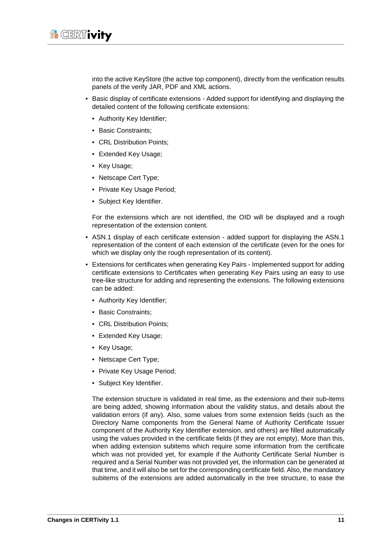

into the active KeyStore (the active top component), directly from the verification results panels of the verify JAR, PDF and XML actions.

- Basic display of certificate extensions Added support for identifying and displaying the detailed content of the following certificate extensions:
	- Authority Key Identifier;
	- Basic Constraints;
	- CRL Distribution Points:
	- Extended Key Usage;
	- Key Usage;
	- Netscape Cert Type;
	- Private Key Usage Period;
	- Subject Key Identifier.

For the extensions which are not identified, the OID will be displayed and a rough representation of the extension content.

- ASN.1 display of each certificate extension added support for displaying the ASN.1 representation of the content of each extension of the certificate (even for the ones for which we display only the rough representation of its content).
- Extensions for certificates when generating Key Pairs Implemented support for adding certificate extensions to Certificates when generating Key Pairs using an easy to use tree-like structure for adding and representing the extensions. The following extensions can be added:
	- Authority Key Identifier:
	- Basic Constraints;
	- CRL Distribution Points:
	- Extended Key Usage;
	- Key Usage;
	- Netscape Cert Type;
	- Private Key Usage Period;
	- Subject Key Identifier.

The extension structure is validated in real time, as the extensions and their sub-items are being added, showing information about the validity status, and details about the validation errors (if any). Also, some values from some extension fields (such as the Directory Name components from the General Name of Authority Certificate Issuer component of the Authority Key Identifier extension, and others) are filled automatically using the values provided in the certificate fields (if they are not empty). More than this, when adding extension subitems which require some information from the certificate which was not provided yet, for example if the Authority Certificate Serial Number is required and a Serial Number was not provided yet, the information can be generated at that time, and it will also be set for the corresponding certificate field. Also, the mandatory subitems of the extensions are added automatically in the tree structure, to ease the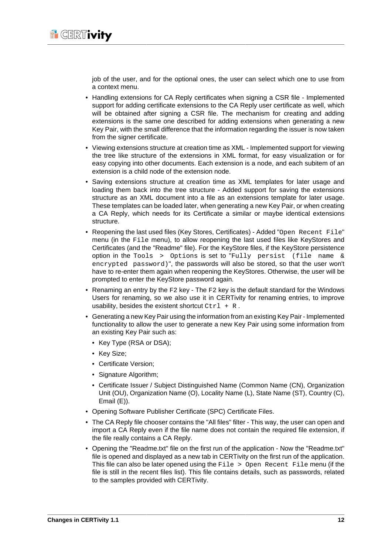

job of the user, and for the optional ones, the user can select which one to use from a context menu.

- Handling extensions for CA Reply certificates when signing a CSR file Implemented support for adding certificate extensions to the CA Reply user certificate as well, which will be obtained after signing a CSR file. The mechanism for creating and adding extensions is the same one described for adding extensions when generating a new Key Pair, with the small difference that the information regarding the issuer is now taken from the signer certificate.
- Viewing extensions structure at creation time as XML Implemented support for viewing the tree like structure of the extensions in XML format, for easy visualization or for easy copying into other documents. Each extension is a node, and each subitem of an extension is a child node of the extension node.
- Saving extensions structure at creation time as XML templates for later usage and loading them back into the tree structure - Added support for saving the extensions structure as an XML document into a file as an extensions template for later usage. These templates can be loaded later, when generating a new Key Pair, or when creating a CA Reply, which needs for its Certificate a similar or maybe identical extensions structure.
- Reopening the last used files (Key Stores, Certificates) Added "Open Recent File" menu (in the File menu), to allow reopening the last used files like KeyStores and Certificates (and the "Readme" file). For the KeyStore files, if the KeyStore persistence option in the Tools > Options is set to "Fully persist (file name & encrypted password)", the passwords will also be stored, so that the user won't have to re-enter them again when reopening the KeyStores. Otherwise, the user will be prompted to enter the KeyStore password again.
- Renaming an entry by the F2 key The F2 key is the default standard for the Windows Users for renaming, so we also use it in CERTivity for renaming entries, to improve usability, besides the existent shortcut  $Ctr1 + R$ .
- Generating a new Key Pair using the information from an existing Key Pair Implemented functionality to allow the user to generate a new Key Pair using some information from an existing Key Pair such as:
	- Key Type (RSA or DSA);
	- Key Size;
	- Certificate Version;
	- Signature Algorithm;
	- Certificate Issuer / Subject Distinguished Name (Common Name (CN), Organization Unit (OU), Organization Name (O), Locality Name (L), State Name (ST), Country (C), Email (E)).
- Opening Software Publisher Certificate (SPC) Certificate Files.
- The CA Reply file chooser contains the "All files" filter This way, the user can open and import a CA Reply even if the file name does not contain the required file extension, if the file really contains a CA Reply.
- Opening the "Readme.txt" file on the first run of the application Now the "Readme.txt" file is opened and displayed as a new tab in CERTivity on the first run of the application. This file can also be later opened using the  $File > Open Recent File menu (if the$ file is still in the recent files list). This file contains details, such as passwords, related to the samples provided with CERTivity.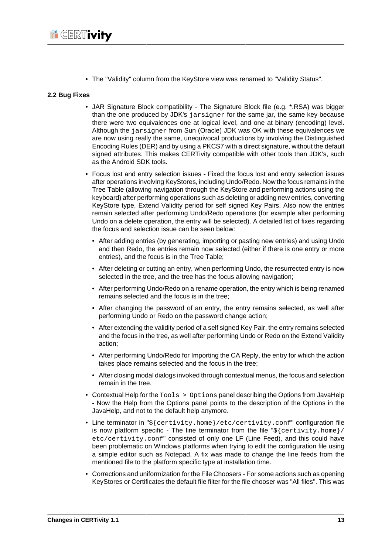

• The "Validity" column from the KeyStore view was renamed to "Validity Status".

#### <span id="page-15-0"></span>**2.2 Bug Fixes**

- JAR Signature Block compatibility The Signature Block file (e.g. \*.RSA) was bigger than the one produced by JDK's jarsigner for the same jar, the same key because there were two equivalences one at logical level, and one at binary (encoding) level. Although the jarsigner from Sun (Oracle) JDK was OK with these equivalences we are now using really the same, unequivocal productions by involving the Distinguished Encoding Rules (DER) and by using a PKCS7 with a direct signature, without the default signed attributes. This makes CERTivity compatible with other tools than JDK's, such as the Android SDK tools.
- Focus lost and entry selection issues Fixed the focus lost and entry selection issues after operations involving KeyStores, including Undo/Redo. Now the focus remains in the Tree Table (allowing navigation through the KeyStore and performing actions using the keyboard) after performing operations such as deleting or adding new entries, converting KeyStore type, Extend Validity period for self signed Key Pairs. Also now the entries remain selected after performing Undo/Redo operations (for example after performing Undo on a delete operation, the entry will be selected). A detailed list of fixes regarding the focus and selection issue can be seen below:
	- After adding entries (by generating, importing or pasting new entries) and using Undo and then Redo, the entries remain now selected (either if there is one entry or more entries), and the focus is in the Tree Table;
	- After deleting or cutting an entry, when performing Undo, the resurrected entry is now selected in the tree, and the tree has the focus allowing navigation;
	- After performing Undo/Redo on a rename operation, the entry which is being renamed remains selected and the focus is in the tree;
	- After changing the password of an entry, the entry remains selected, as well after performing Undo or Redo on the password change action;
	- After extending the validity period of a self signed Key Pair, the entry remains selected and the focus in the tree, as well after performing Undo or Redo on the Extend Validity action;
	- After performing Undo/Redo for Importing the CA Reply, the entry for which the action takes place remains selected and the focus in the tree;
	- After closing modal dialogs invoked through contextual menus, the focus and selection remain in the tree.
- Contextual Help for the  $Tools > Options$  panel describing the Options from JavaHelp - Now the Help from the Options panel points to the description of the Options in the JavaHelp, and not to the default help anymore.
- Line terminator in "\${certivity.home}/etc/certivity.conf" configuration file is now platform specific - The line terminator from the file " $s$ {certivity.home}/ etc/certivity.conf" consisted of only one LF (Line Feed), and this could have been problematic on Windows platforms when trying to edit the configuration file using a simple editor such as Notepad. A fix was made to change the line feeds from the mentioned file to the platform specific type at installation time.
- Corrections and uniformization for the File Choosers For some actions such as opening KeyStores or Certificates the default file filter for the file chooser was "All files". This was